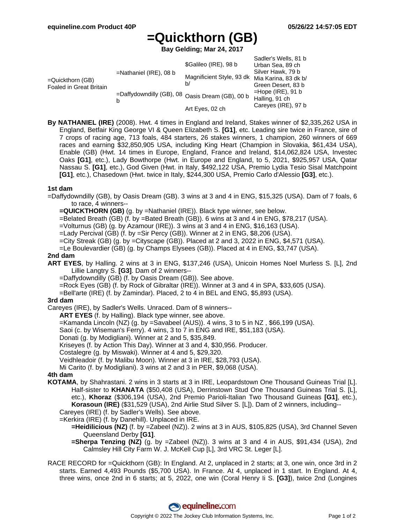# **=Quickthorn (GB)**

**Bay Gelding; Mar 24, 2017**

| $=$ Quickthorn (GB)<br><b>Foaled in Great Britain</b> | $=$ Nathaniel (IRE), 08 b<br>=Daffydowndilly (GB), 08 Oasis Dream (GB), 00 b | \$Galileo (IRE), 98 b<br>Magnificient Style, 93 dk<br>b/ | Sadler's Wells, 81 b<br>Urban Sea, 89 ch<br>Silver Hawk, 79 b<br>Mia Karina, 83 dk b/<br>Green Desert, 83 b<br>$=$ Hope (IRE), 91 b<br>Halling, 91 ch<br>Careyes (IRE), 97 b |
|-------------------------------------------------------|------------------------------------------------------------------------------|----------------------------------------------------------|------------------------------------------------------------------------------------------------------------------------------------------------------------------------------|
|                                                       |                                                                              | Art Eyes, 02 ch                                          |                                                                                                                                                                              |

**By NATHANIEL (IRE)** (2008). Hwt. 4 times in England and Ireland, Stakes winner of \$2,335,262 USA in England, Betfair King George VI & Queen Elizabeth S. **[G1]**, etc. Leading sire twice in France, sire of 7 crops of racing age, 713 foals, 484 starters, 26 stakes winners, 1 champion, 260 winners of 669 races and earning \$32,850,905 USA, including King Heart (Champion in Slovakia, \$61,434 USA), Enable (GB) (Hwt. 14 times in Europe, England, France and Ireland, \$14,062,824 USA, Investec Oaks **[G1]**, etc.), Lady Bowthorpe (Hwt. in Europe and England, to 5, 2021, \$925,957 USA, Qatar Nassau S. **[G1]**, etc.), God Given (Hwt. in Italy, \$492,122 USA, Premio Lydia Tesio Sisal Matchpoint **[G1]**, etc.), Chasedown (Hwt. twice in Italy, \$244,300 USA, Premio Carlo d'Alessio **[G3]**, etc.).

### **1st dam**

- =Daffydowndilly (GB), by Oasis Dream (GB). 3 wins at 3 and 4 in ENG, \$15,325 (USA). Dam of 7 foals, 6 to race, 4 winners--
	- **=QUICKTHORN (GB)** (g. by =Nathaniel (IRE)). Black type winner, see below.
	- =Belated Breath (GB) (f. by =Bated Breath (GB)). 6 wins at 3 and 4 in ENG, \$78,217 (USA).
	- =Volturnus (GB) (g. by Azamour (IRE)). 3 wins at 3 and 4 in ENG, \$16,163 (USA).
	- =Lady Percival (GB) (f. by =Sir Percy (GB)). Winner at 2 in ENG, \$8,206 (USA).
	- =City Streak (GB) (g. by =Cityscape (GB)). Placed at 2 and 3, 2022 in ENG, \$4,571 (USA).
	- =Le Boulevardier (GB) (g. by Champs Elysees (GB)). Placed at 4 in ENG, \$3,747 (USA).

#### **2nd dam**

- **ART EYES**, by Halling. 2 wins at 3 in ENG, \$137,246 (USA), Unicoin Homes Noel Murless S. [L], 2nd Lillie Langtry S. **[G3]**. Dam of 2 winners--
	- =Daffydowndilly (GB) (f. by Oasis Dream (GB)). See above.
	- =Rock Eyes (GB) (f. by Rock of Gibraltar (IRE)). Winner at 3 and 4 in SPA, \$33,605 (USA).
	- =Bell'arte (IRE) (f. by Zamindar). Placed, 2 to 4 in BEL and ENG, \$5,893 (USA).

### **3rd dam**

- Careyes (IRE), by Sadler's Wells. Unraced. Dam of 8 winners--
	- **ART EYES** (f. by Halling). Black type winner, see above.
	- =Kamanda Lincoln (NZ) (g. by =Savabeel (AUS)). 4 wins, 3 to 5 in NZ , \$66,199 (USA).
	- Saoi (c. by Wiseman's Ferry). 4 wins, 3 to 7 in ENG and IRE, \$51,183 (USA).
	- Donati (g. by Modigliani). Winner at 2 and 5, \$35,849.
	- Kriseyes (f. by Action This Day). Winner at 3 and 4, \$30,956. Producer.
	- Costalegre (g. by Miswaki). Winner at 4 and 5, \$29,320.
	- Veidhleadoir (f. by Malibu Moon). Winner at 3 in IRE, \$28,793 (USA).
	- Mi Carito (f. by Modigliani). 3 wins at 2 and 3 in PER, \$9,068 (USA).

### **4th dam**

- **KOTAMA**, by Shahrastani. 2 wins in 3 starts at 3 in IRE, Leopardstown One Thousand Guineas Trial [L]. Half-sister to **KHANATA** (\$50,408 (USA), Derrinstown Stud One Thousand Guineas Trial S. [L], etc.), **Khoraz** (\$306,194 (USA), 2nd Premio Parioli-Italian Two Thousand Guineas **[G1]**, etc.), **Korasoun (IRE)** (\$31,529 (USA), 2nd Airlie Stud Silver S. [L]). Dam of 2 winners, including--
	- Careyes (IRE) (f. by Sadler's Wells). See above.
	- =Kerkira (IRE) (f. by Danehill). Unplaced in IRE.
		- **=Heidilicious (NZ)** (f. by =Zabeel (NZ)). 2 wins at 3 in AUS, \$105,825 (USA), 3rd Channel Seven Queensland Derby **[G1]**.
		- **=Sherpa Tenzing (NZ)** (g. by =Zabeel (NZ)). 3 wins at 3 and 4 in AUS, \$91,434 (USA), 2nd Calmsley Hill City Farm W. J. McKell Cup [L], 3rd VRC St. Leger [L].
- RACE RECORD for =Quickthorn (GB): In England. At 2, unplaced in 2 starts; at 3, one win, once 3rd in 2 starts. Earned 4,493 Pounds (\$5,700 USA). In France. At 4, unplaced in 1 start. In England. At 4, three wins, once 2nd in 6 starts; at 5, 2022, one win (Coral Henry Ii S. **[G3]**), twice 2nd (Longines